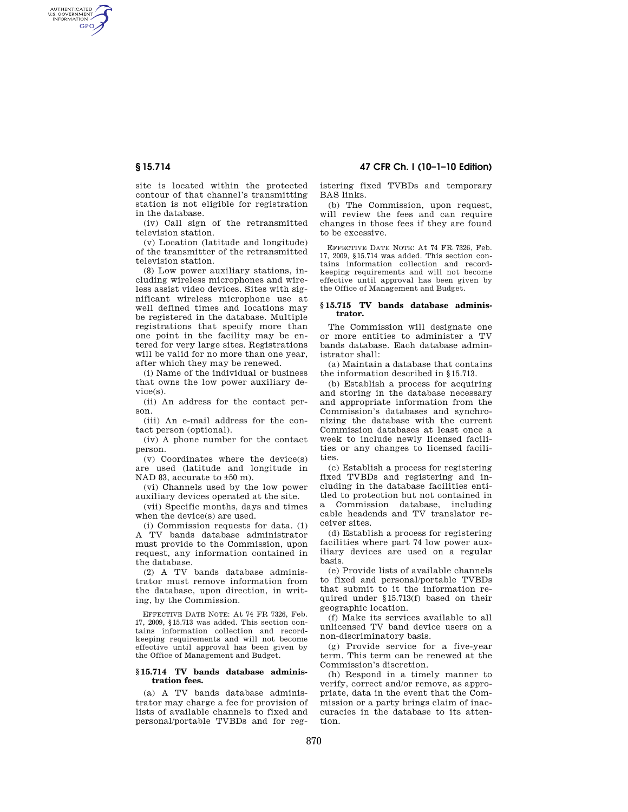AUTHENTICATED<br>U.S. GOVERNMENT<br>INFORMATION **GPO** 

**§ 15.714 47 CFR Ch. I (10–1–10 Edition)** 

site is located within the protected contour of that channel's transmitting station is not eligible for registration in the database.

(iv) Call sign of the retransmitted television station.

(v) Location (latitude and longitude) of the transmitter of the retransmitted television station.

(8) Low power auxiliary stations, including wireless microphones and wireless assist video devices. Sites with significant wireless microphone use at well defined times and locations may be registered in the database. Multiple registrations that specify more than one point in the facility may be entered for very large sites. Registrations will be valid for no more than one year, after which they may be renewed.

(i) Name of the individual or business that owns the low power auxiliary device(s).

(ii) An address for the contact person.

(iii) An e-mail address for the contact person (optional).

(iv) A phone number for the contact person.

(v) Coordinates where the device(s) are used (latitude and longitude in NAD 83, accurate to ±50 m).

(vi) Channels used by the low power auxiliary devices operated at the site.

(vii) Specific months, days and times when the device(s) are used.

(i) Commission requests for data. (1) A TV bands database administrator must provide to the Commission, upon request, any information contained in the database.

(2) A TV bands database administrator must remove information from the database, upon direction, in writing, by the Commission.

EFFECTIVE DATE NOTE: At 74 FR 7326, Feb. 17, 2009, §15.713 was added. This section contains information collection and recordkeeping requirements and will not become effective until approval has been given by the Office of Management and Budget.

## **§ 15.714 TV bands database administration fees.**

(a) A TV bands database administrator may charge a fee for provision of lists of available channels to fixed and personal/portable TVBDs and for registering fixed TVBDs and temporary BAS links.

(b) The Commission, upon request, will review the fees and can require changes in those fees if they are found to be excessive.

EFFECTIVE DATE NOTE: At 74 FR 7326, Feb. 17, 2009, §15.714 was added. This section contains information collection and recordkeeping requirements and will not become effective until approval has been given by the Office of Management and Budget.

### **§ 15.715 TV bands database administrator.**

The Commission will designate one or more entities to administer a TV bands database. Each database administrator shall:

(a) Maintain a database that contains the information described in §15.713.

(b) Establish a process for acquiring and storing in the database necessary and appropriate information from the Commission's databases and synchronizing the database with the current Commission databases at least once a week to include newly licensed facilities or any changes to licensed facilities.

(c) Establish a process for registering fixed TVBDs and registering and including in the database facilities entitled to protection but not contained in a Commission database, including cable headends and TV translator receiver sites.

(d) Establish a process for registering facilities where part 74 low power auxiliary devices are used on a regular basis.

(e) Provide lists of available channels to fixed and personal/portable TVBDs that submit to it the information required under §15.713(f) based on their geographic location.

(f) Make its services available to all unlicensed TV band device users on a non-discriminatory basis.

(g) Provide service for a five-year term. This term can be renewed at the Commission's discretion.

(h) Respond in a timely manner to verify, correct and/or remove, as appropriate, data in the event that the Commission or a party brings claim of inaccuracies in the database to its attention.